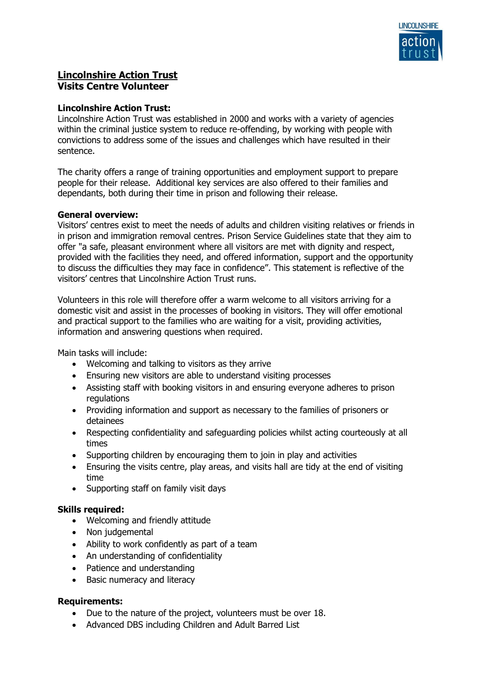

# **Lincolnshire Action Trust Visits Centre Volunteer**

## **Lincolnshire Action Trust:**

Lincolnshire Action Trust was established in 2000 and works with a variety of agencies within the criminal justice system to reduce re-offending, by working with people with convictions to address some of the issues and challenges which have resulted in their sentence.

The charity offers a range of training opportunities and employment support to prepare people for their release. Additional key services are also offered to their families and dependants, both during their time in prison and following their release.

#### **General overview:**

Visitors' centres exist to meet the needs of adults and children visiting relatives or friends in in prison and immigration removal centres. Prison Service Guidelines state that they aim to offer "a safe, pleasant environment where all visitors are met with dignity and respect, provided with the facilities they need, and offered information, support and the opportunity to discuss the difficulties they may face in confidence". This statement is reflective of the visitors' centres that Lincolnshire Action Trust runs.

Volunteers in this role will therefore offer a warm welcome to all visitors arriving for a domestic visit and assist in the processes of booking in visitors. They will offer emotional and practical support to the families who are waiting for a visit, providing activities, information and answering questions when required.

Main tasks will include:

- Welcoming and talking to visitors as they arrive
- Ensuring new visitors are able to understand visiting processes
- Assisting staff with booking visitors in and ensuring everyone adheres to prison regulations
- Providing information and support as necessary to the families of prisoners or detainees
- Respecting confidentiality and safeguarding policies whilst acting courteously at all times
- Supporting children by encouraging them to join in play and activities
- Ensuring the visits centre, play areas, and visits hall are tidy at the end of visiting time
- Supporting staff on family visit days

#### **Skills required:**

- Welcoming and friendly attitude
- Non judgemental
- Ability to work confidently as part of a team
- An understanding of confidentiality
- Patience and understanding
- Basic numeracy and literacy

#### **Requirements:**

- Due to the nature of the project, volunteers must be over 18.
- Advanced DBS including Children and Adult Barred List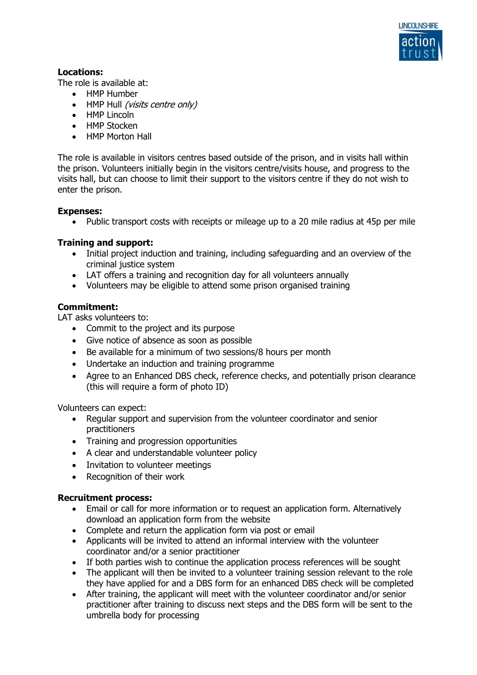

## **Locations:**

The role is available at:

- HMP Humber
- HMP Hull (visits centre only)
- HMP Lincoln
- HMP Stocken
- HMP Morton Hall

The role is available in visitors centres based outside of the prison, and in visits hall within the prison. Volunteers initially begin in the visitors centre/visits house, and progress to the visits hall, but can choose to limit their support to the visitors centre if they do not wish to enter the prison.

## **Expenses:**

• Public transport costs with receipts or mileage up to a 20 mile radius at 45p per mile

## **Training and support:**

- Initial project induction and training, including safeguarding and an overview of the criminal justice system
- LAT offers a training and recognition day for all volunteers annually
- Volunteers may be eligible to attend some prison organised training

## **Commitment:**

LAT asks volunteers to:

- Commit to the project and its purpose
- Give notice of absence as soon as possible
- Be available for a minimum of two sessions/8 hours per month
- Undertake an induction and training programme
- Agree to an Enhanced DBS check, reference checks, and potentially prison clearance (this will require a form of photo ID)

Volunteers can expect:

- Regular support and supervision from the volunteer coordinator and senior practitioners
- Training and progression opportunities
- A clear and understandable volunteer policy
- Invitation to volunteer meetings
- Recognition of their work

#### **Recruitment process:**

- Email or call for more information or to request an application form. Alternatively download an application form from the website
- Complete and return the application form via post or email
- Applicants will be invited to attend an informal interview with the volunteer coordinator and/or a senior practitioner
- If both parties wish to continue the application process references will be sought
- The applicant will then be invited to a volunteer training session relevant to the role they have applied for and a DBS form for an enhanced DBS check will be completed
- After training, the applicant will meet with the volunteer coordinator and/or senior practitioner after training to discuss next steps and the DBS form will be sent to the umbrella body for processing